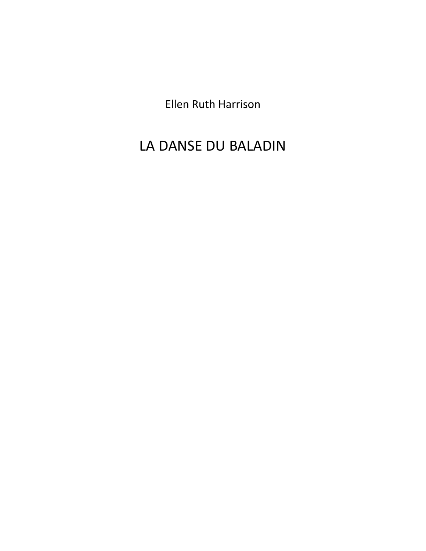Ellen Ruth Harrison

## LA DANSE DU BALADIN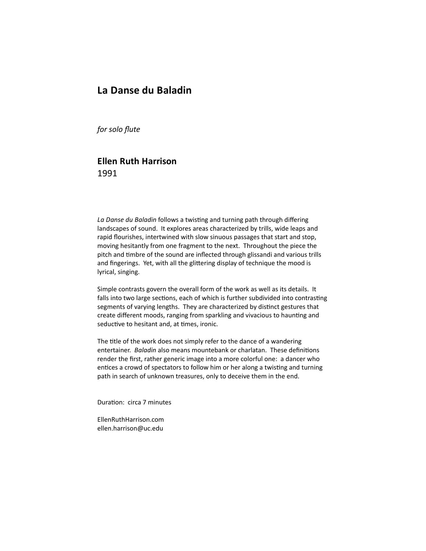## **La Danse du Baladin**

*for solo flute* 

## **Ellen Ruth Harrison** 1991

La Danse du Baladin follows a twisting and turning path through differing landscapes of sound. It explores areas characterized by trills, wide leaps and rapid flourishes, intertwined with slow sinuous passages that start and stop, moving hesitantly from one fragment to the next. Throughout the piece the pitch and timbre of the sound are inflected through glissandi and various trills and fingerings. Yet, with all the glittering display of technique the mood is lyrical, singing.

Simple contrasts govern the overall form of the work as well as its details. It falls into two large sections, each of which is further subdivided into contrasting segments of varying lengths. They are characterized by distinct gestures that create different moods, ranging from sparkling and vivacious to haunting and seductive to hesitant and, at times, ironic.

The title of the work does not simply refer to the dance of a wandering entertainer. *Baladin* also means mountebank or charlatan. These definitions render the first, rather generic image into a more colorful one: a dancer who entices a crowd of spectators to follow him or her along a twisting and turning path in search of unknown treasures, only to deceive them in the end.

Duration: circa 7 minutes

EllenRuthHarrison.com ellen.harrison@uc.edu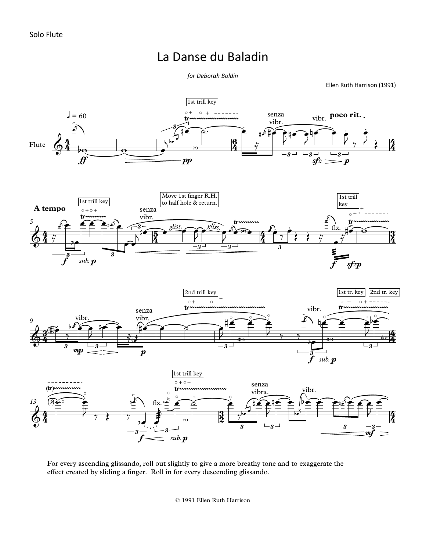## La Danse du Baladin

*for Deborah Boldin*

Ellen Ruth Harrison (1991)









For every ascending glissando, roll out slightly to give a more breathy tone and to exaggerate the effect created by sliding a finger. Roll in for every descending glissando.

© 1991 Ellen Ruth Harrison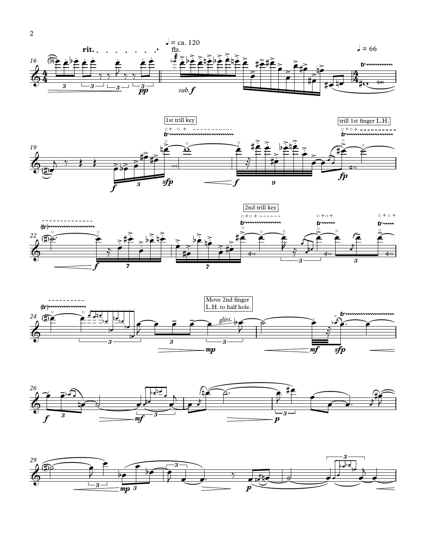









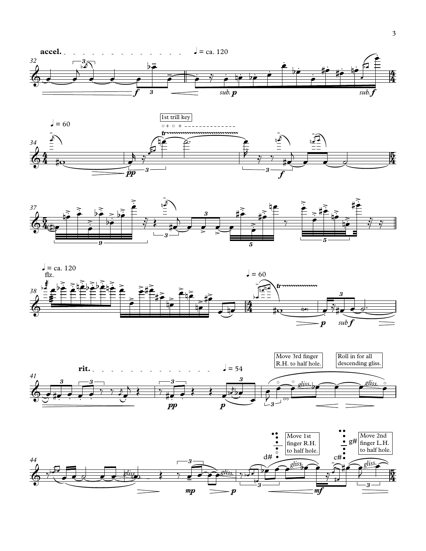









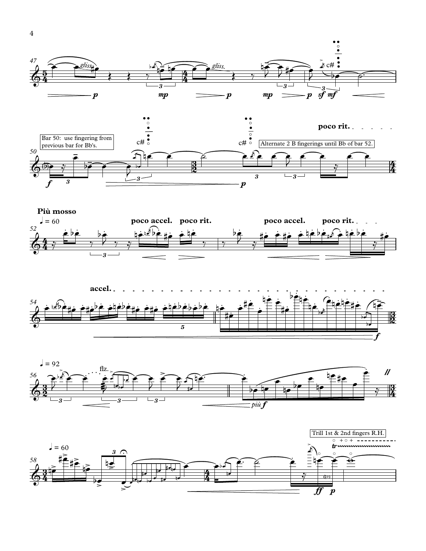